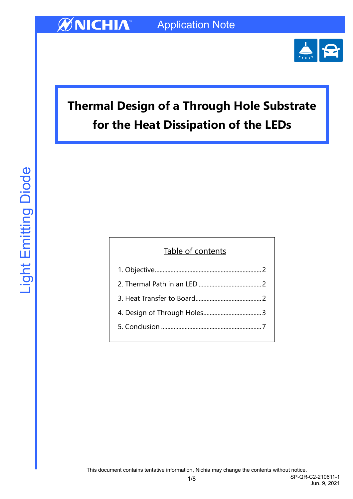

Jun. 9, 2021

# **Thermal Design of a Through Hole Substrate for the Heat Dissipation of the LEDs**

| Table of contents |
|-------------------|
|                   |
|                   |
|                   |
|                   |
|                   |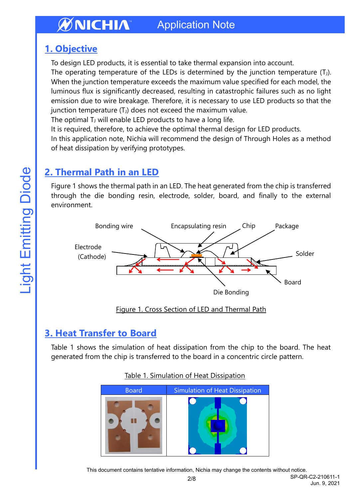## <span id="page-1-0"></span>**1. Objective**

To design LED products, it is essential to take thermal expansion into account.

The operating temperature of the LEDs is determined by the junction temperature  $(T_J)$ . When the junction temperature exceeds the maximum value specified for each model, the luminous flux is significantly decreased, resulting in catastrophic failures such as no light emission due to wire breakage. Therefore, it is necessary to use LED products so that the junction temperature  $(T_J)$  does not exceed the maximum value.

The optimal  $T_J$  will enable LED products to have a long life.

It is required, therefore, to achieve the optimal thermal design for LED products.

In this application note, Nichia will recommend the design of Through Holes as a method of heat dissipation by verifying prototypes.

## <span id="page-1-1"></span>**2. Thermal Path in an LED**

Figure 1 shows the thermal path in an LED. The heat generated from the chip is transferred through the die bonding resin, electrode, solder, board, and finally to the external environment.



Figure 1. Cross Section of LED and Thermal Path

## <span id="page-1-2"></span>**3. Heat Transfer to Board**

Table 1 shows the simulation of heat dissipation from the chip to the board. The heat generated from the chip is transferred to the board in a concentric circle pattern.



### Table 1. Simulation of Heat Dissipation

This document contains tentative information, Nichia may change the contents without notice.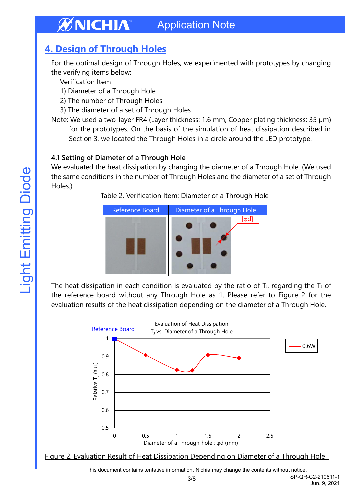## <span id="page-2-0"></span>**4. Design of Through Holes**

For the optimal design of Through Holes, we experimented with prototypes by changing the verifying items below:

Verification Item

- 1) Diameter of a Through Hole
- 2) The number of Through Holes
- 3) The diameter of a set of Through Holes
- Note: We used a two-layer FR4 (Layer thickness: 1.6 mm, Copper plating thickness: 35 µm) for the prototypes. On the basis of the simulation of heat dissipation described in Section 3, we located the Through Holes in a circle around the LED prototype.

### **4.1 Setting of Diameter of a Through Hole**

We evaluated the heat dissipation by changing the diameter of a Through Hole. (We used the same conditions in the number of Through Holes and the diameter of a set of Through Holes.)

Table 2. Verification Item: Diameter of a Through Hole



The heat dissipation in each condition is evaluated by the ratio of  $T_J$ , regarding the  $T_J$  of the reference board without any Through Hole as 1. Please refer to Figure 2 for the evaluation results of the heat dissipation depending on the diameter of a Through Hole.



Figure 2. Evaluation Result of Heat Dissipation Depending on Diameter of a Through Hole

This document contains tentative information, Nichia may change the contents without notice.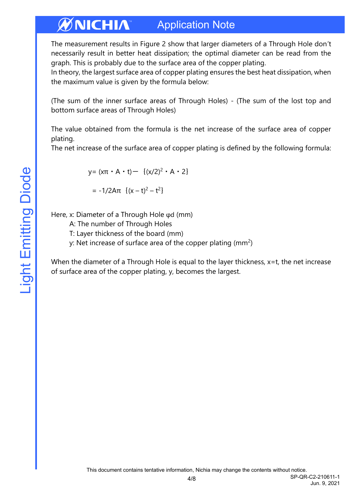The measurement results in Figure 2 show that larger diameters of a Through Hole don't necessarily result in better heat dissipation; the optimal diameter can be read from the graph. This is probably due to the surface area of the copper plating.

In theory, the largest surface area of copper plating ensures the best heat dissipation, when the maximum value is given by the formula below:

(The sum of the inner surface areas of Through Holes) - (The sum of the lost top and bottom surface areas of Through Holes)

The value obtained from the formula is the net increase of the surface area of copper plating.

The net increase of the surface area of copper plating is defined by the following formula:

$$
y = (x\pi \cdot A \cdot t) - \{(x/2)^2 \cdot A \cdot 2\}
$$

=  $-1/2Aπ$  { $(x – t)<sup>2</sup> – t<sup>2</sup>$ }

Here, x: Diameter of a Through Hole φd (mm)

A: The number of Through Holes

T: Layer thickness of the board (mm)

y: Net increase of surface area of the copper plating (mm<sup>2</sup>)

When the diameter of a Through Hole is equal to the layer thickness, x=t, the net increase of surface area of the copper plating, y, becomes the largest.

Jun. 9, 2021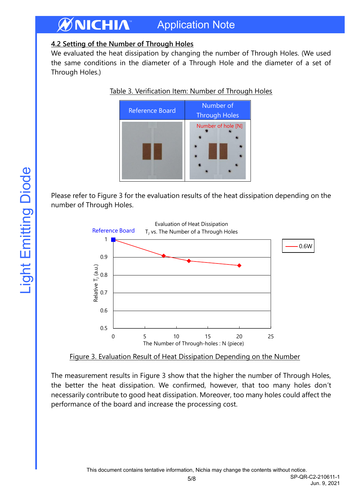### **4.2 Setting of the Number of Through Holes**

We evaluated the heat dissipation by changing the number of Through Holes. (We used the same conditions in the diameter of a Through Hole and the diameter of a set of Through Holes.)





Please refer to Figure 3 for the evaluation results of the heat dissipation depending on the number of Through Holes.



Figure 3. Evaluation Result of Heat Dissipation Depending on the Number

The measurement results in Figure 3 show that the higher the number of Through Holes, the better the heat dissipation. We confirmed, however, that too many holes don't necessarily contribute to good heat dissipation. Moreover, too many holes could affect the performance of the board and increase the processing cost.

SP-QR-C2-210611-1 Jun. 9, 2021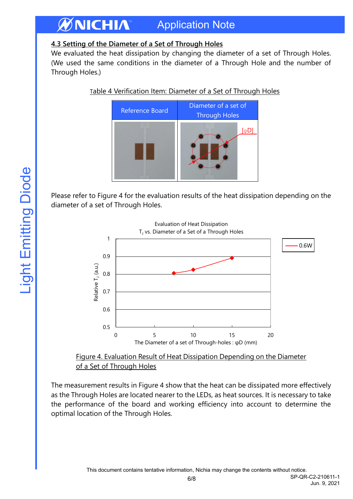### **4.3 Setting of the Diameter of a Set of Through Holes**

We evaluated the heat dissipation by changing the diameter of a set of Through Holes. (We used the same conditions in the diameter of a Through Hole and the number of Through Holes.)





Please refer to Figure 4 for the evaluation results of the heat dissipation depending on the diameter of a set of Through Holes.





The measurement results in Figure 4 show that the heat can be dissipated more effectively as the Through Holes are located nearer to the LEDs, as heat sources. It is necessary to take the performance of the board and working efficiency into account to determine the optimal location of the Through Holes.

6/8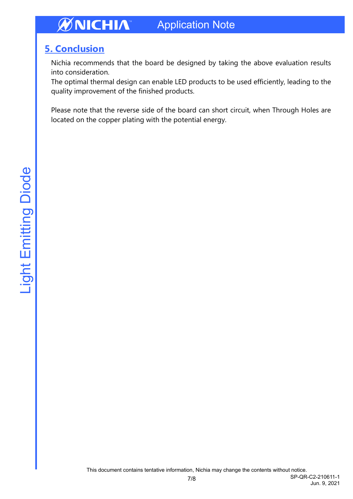## <span id="page-6-0"></span>**5. Conclusion**

Nichia recommends that the board be designed by taking the above evaluation results into consideration.

The optimal thermal design can enable LED products to be used efficiently, leading to the quality improvement of the finished products.

Please note that the reverse side of the board can short circuit, when Through Holes are located on the copper plating with the potential energy.

Jun. 9, 2021